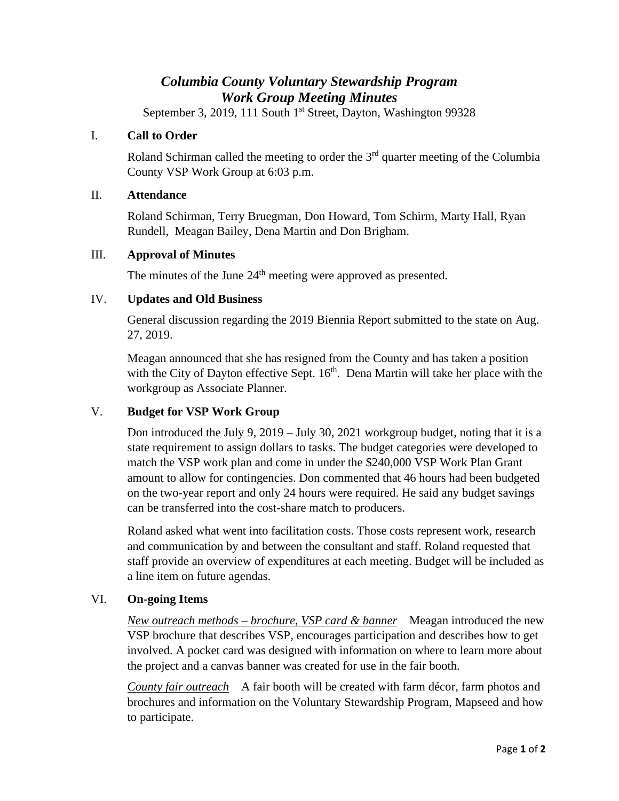# *Columbia County Voluntary Stewardship Program Work Group Meeting Minutes*

September 3, 2019, 111 South 1<sup>st</sup> Street, Dayton, Washington 99328

### I. **Call to Order**

Roland Schirman called the meeting to order the  $3<sup>rd</sup>$  quarter meeting of the Columbia County VSP Work Group at 6:03 p.m.

#### II. **Attendance**

Roland Schirman, Terry Bruegman, Don Howard, Tom Schirm, Marty Hall, Ryan Rundell, Meagan Bailey, Dena Martin and Don Brigham.

#### III. **Approval of Minutes**

The minutes of the June  $24<sup>th</sup>$  meeting were approved as presented.

#### IV. **Updates and Old Business**

General discussion regarding the 2019 Biennia Report submitted to the state on Aug. 27, 2019.

Meagan announced that she has resigned from the County and has taken a position with the City of Dayton effective Sept.  $16<sup>th</sup>$ . Dena Martin will take her place with the workgroup as Associate Planner.

# V. **Budget for VSP Work Group**

Don introduced the July 9, 2019 – July 30, 2021 workgroup budget, noting that it is a state requirement to assign dollars to tasks. The budget categories were developed to match the VSP work plan and come in under the \$240,000 VSP Work Plan Grant amount to allow for contingencies. Don commented that 46 hours had been budgeted on the two-year report and only 24 hours were required. He said any budget savings can be transferred into the cost-share match to producers.

Roland asked what went into facilitation costs. Those costs represent work, research and communication by and between the consultant and staff. Roland requested that staff provide an overview of expenditures at each meeting. Budget will be included as a line item on future agendas.

# VI. **On-going Items**

*New outreach methods – brochure, VSP card & banner* Meagan introduced the new VSP brochure that describes VSP, encourages participation and describes how to get involved. A pocket card was designed with information on where to learn more about the project and a canvas banner was created for use in the fair booth.

*County fair outreach* A fair booth will be created with farm décor, farm photos and brochures and information on the Voluntary Stewardship Program, Mapseed and how to participate.